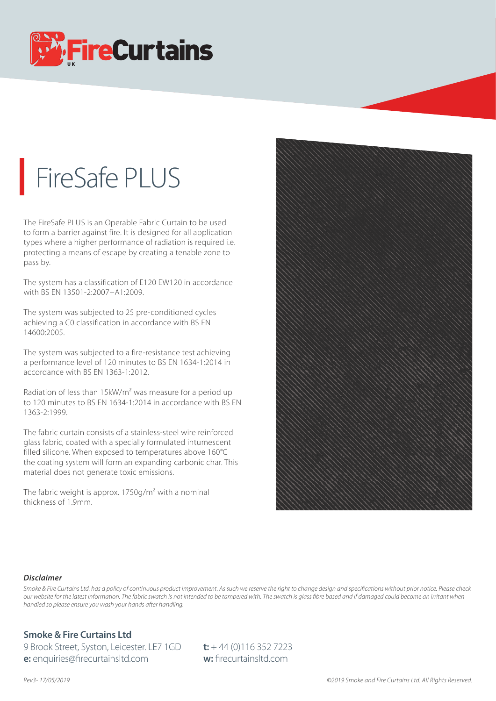

## FireSafe PLUS

The FireSafe PLUS is an Operable Fabric Curtain to be used to form a barrier against fire. It is designed for all application types where a higher performance of radiation is required i.e. protecting a means of escape by creating a tenable zone to pass by.

The system has a classification of E120 EW120 in accordance with BS EN 13501-2:2007+A1:2009.

The system was subjected to 25 pre-conditioned cycles achieving a C0 classification in accordance with BS EN 14600:2005.

The system was subjected to a fire-resistance test achieving a performance level of 120 minutes to BS EN 1634-1:2014 in accordance with BS EN 1363-1:2012.

Radiation of less than 15kW/m<sup>2</sup> was measure for a period up to 120 minutes to BS EN 1634-1:2014 in accordance with BS EN 1363-2:1999.

The fabric curtain consists of a stainless-steel wire reinforced glass fabric, coated with a specially formulated intumescent filled silicone. When exposed to temperatures above 160°C the coating system will form an expanding carbonic char. This material does not generate toxic emissions.

The fabric weight is approx.  $1750q/m^2$  with a nominal thickness of 1.9mm.



## *Disclaimer*

Smoke & Fire Curtains Ltd. has a policy of continuous product improvement. As such we reserve the right to change design and specifications without prior notice. Please check *our website for the latest information. The fabric swatch is not intended to be tampered with. The swatch is glass bre based and if damaged could become an irritant when handled so please ensure you wash your hands after handling.*

## **Smoke & Fire Curtains Ltd**

9 Brook Street, Syston, Leicester. LE7 1GD **t:** + 44 (0)116 352 7223 **e:** enquiries@firecurtainsltd.com **w:** firecurtainsltd.com